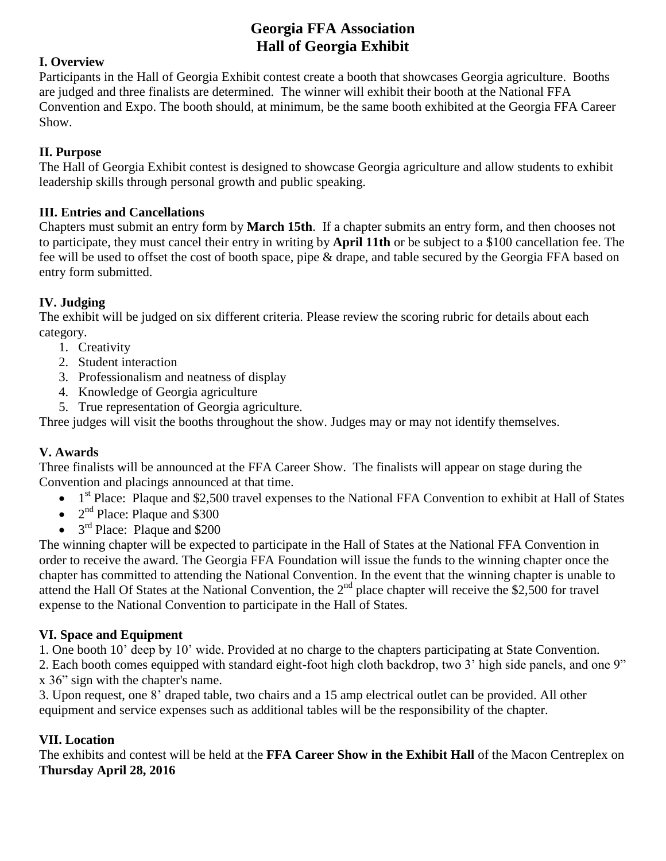# **Georgia FFA Association Hall of Georgia Exhibit**

### **I. Overview**

Participants in the Hall of Georgia Exhibit contest create a booth that showcases Georgia agriculture. Booths are judged and three finalists are determined. The winner will exhibit their booth at the National FFA Convention and Expo. The booth should, at minimum, be the same booth exhibited at the Georgia FFA Career Show.

## **II. Purpose**

The Hall of Georgia Exhibit contest is designed to showcase Georgia agriculture and allow students to exhibit leadership skills through personal growth and public speaking.

### **III. Entries and Cancellations**

Chapters must submit an entry form by **March 15th**. If a chapter submits an entry form, and then chooses not to participate, they must cancel their entry in writing by **April 11th** or be subject to a \$100 cancellation fee. The fee will be used to offset the cost of booth space, pipe & drape, and table secured by the Georgia FFA based on entry form submitted.

## **IV. Judging**

The exhibit will be judged on six different criteria. Please review the scoring rubric for details about each category.

- 1. Creativity
- 2. Student interaction
- 3. Professionalism and neatness of display
- 4. Knowledge of Georgia agriculture
- 5. True representation of Georgia agriculture.

Three judges will visit the booths throughout the show. Judges may or may not identify themselves.

### **V. Awards**

Three finalists will be announced at the FFA Career Show. The finalists will appear on stage during the Convention and placings announced at that time.

- $\bullet$  1<sup>st</sup> Place: Plaque and \$2,500 travel expenses to the National FFA Convention to exhibit at Hall of States
- $\bullet$  2<sup>nd</sup> Place: Plaque and \$300
- $\bullet$  3<sup>rd</sup> Place: Plaque and \$200

The winning chapter will be expected to participate in the Hall of States at the National FFA Convention in order to receive the award. The Georgia FFA Foundation will issue the funds to the winning chapter once the chapter has committed to attending the National Convention. In the event that the winning chapter is unable to attend the Hall Of States at the National Convention, the  $2<sup>nd</sup>$  place chapter will receive the \$2,500 for travel expense to the National Convention to participate in the Hall of States.

## **VI. Space and Equipment**

1. One booth 10' deep by 10' wide. Provided at no charge to the chapters participating at State Convention.

2. Each booth comes equipped with standard eight-foot high cloth backdrop, two 3' high side panels, and one 9" x 36" sign with the chapter's name.

3. Upon request, one 8' draped table, two chairs and a 15 amp electrical outlet can be provided. All other equipment and service expenses such as additional tables will be the responsibility of the chapter.

### **VII. Location**

The exhibits and contest will be held at the **FFA Career Show in the Exhibit Hall** of the Macon Centreplex on **Thursday April 28, 2016**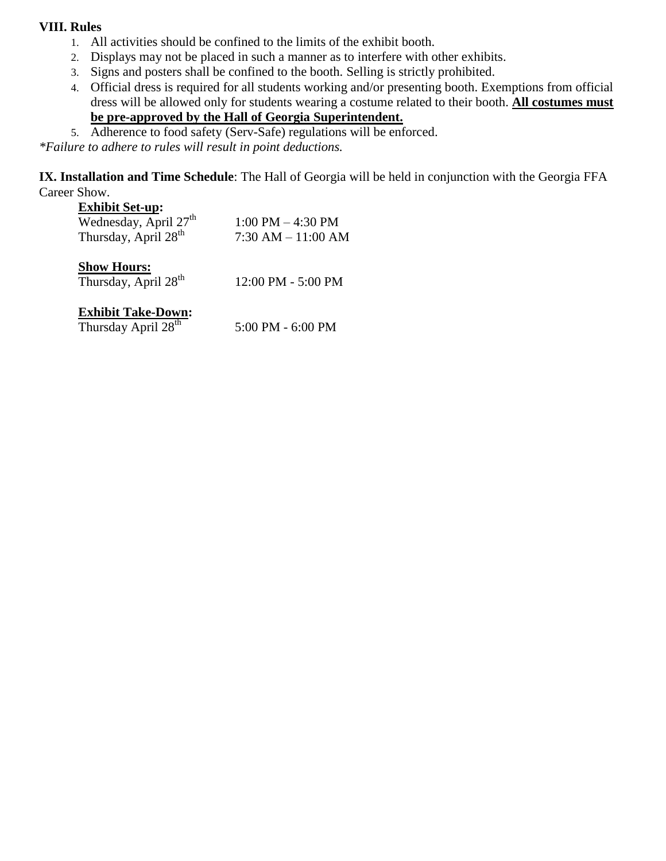#### **VIII. Rules**

- 1. All activities should be confined to the limits of the exhibit booth.
- 2. Displays may not be placed in such a manner as to interfere with other exhibits.
- 3. Signs and posters shall be confined to the booth. Selling is strictly prohibited.
- 4. Official dress is required for all students working and/or presenting booth. Exemptions from official dress will be allowed only for students wearing a costume related to their booth. **All costumes must be pre-approved by the Hall of Georgia Superintendent.**
- 5. Adherence to food safety (Serv-Safe) regulations will be enforced.

*\*Failure to adhere to rules will result in point deductions.*

**IX. Installation and Time Schedule**: The Hall of Georgia will be held in conjunction with the Georgia FFA Career Show.

#### **Exhibit Set-up:**

| Wednesday, April 27 <sup>th</sup> | $1:00$ PM $-4:30$ PM  |
|-----------------------------------|-----------------------|
| Thursday, April 28 <sup>th</sup>  | $7:30$ AM $-11:00$ AM |

### **Show Hours:**

Thursday, April  $28<sup>th</sup>$  12:00 PM - 5:00 PM

## **Exhibit Take-Down:**

| Thursday April 28 <sup>th</sup> | 5:00 PM - 6:00 PM |
|---------------------------------|-------------------|
|---------------------------------|-------------------|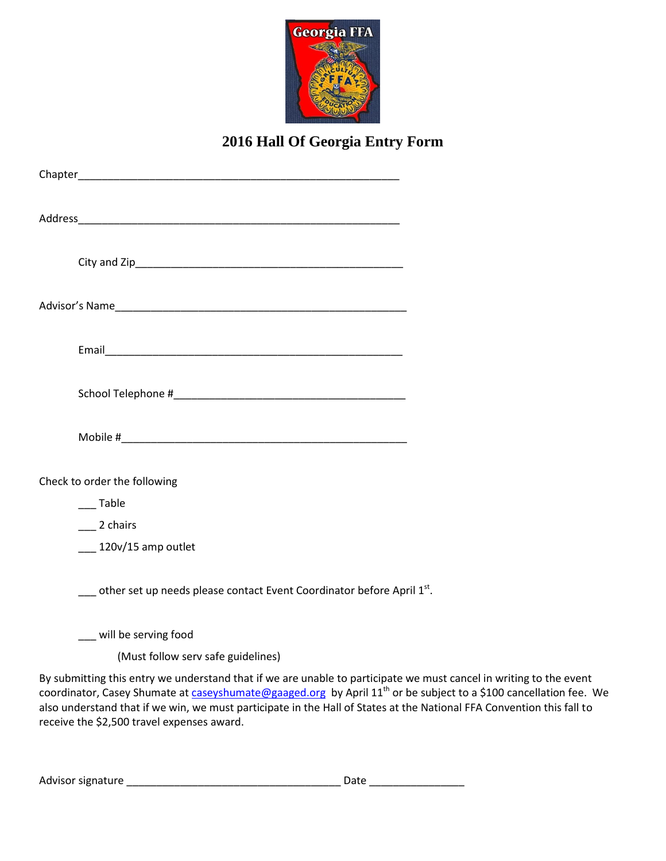

# **2016 Hall Of Georgia Entry Form**

| Check to order the following                                                      |  |
|-----------------------------------------------------------------------------------|--|
| ___Table                                                                          |  |
| $\_\_2$ 2 chairs                                                                  |  |
| $120v/15$ amp outlet                                                              |  |
| other set up needs please contact Event Coordinator before April $1st$ .          |  |
| __ will be serving food                                                           |  |
| (Must follow serv safe guidelines)                                                |  |
| By submitting this entry we understand that if we are unable to participate we mu |  |

By submitting this entry we understand that if we are unable to participate we must cancel in writing to the event coordinator, Casey Shumate at [caseyshumate@gaaged.org](mailto:caseyshumate@gaaged.org) by April 11<sup>th</sup> or be subject to a \$100 cancellation fee. We also understand that if we win, we must participate in the Hall of States at the National FFA Convention this fall to receive the \$2,500 travel expenses award.

| Advisor signature | Date |
|-------------------|------|
|-------------------|------|